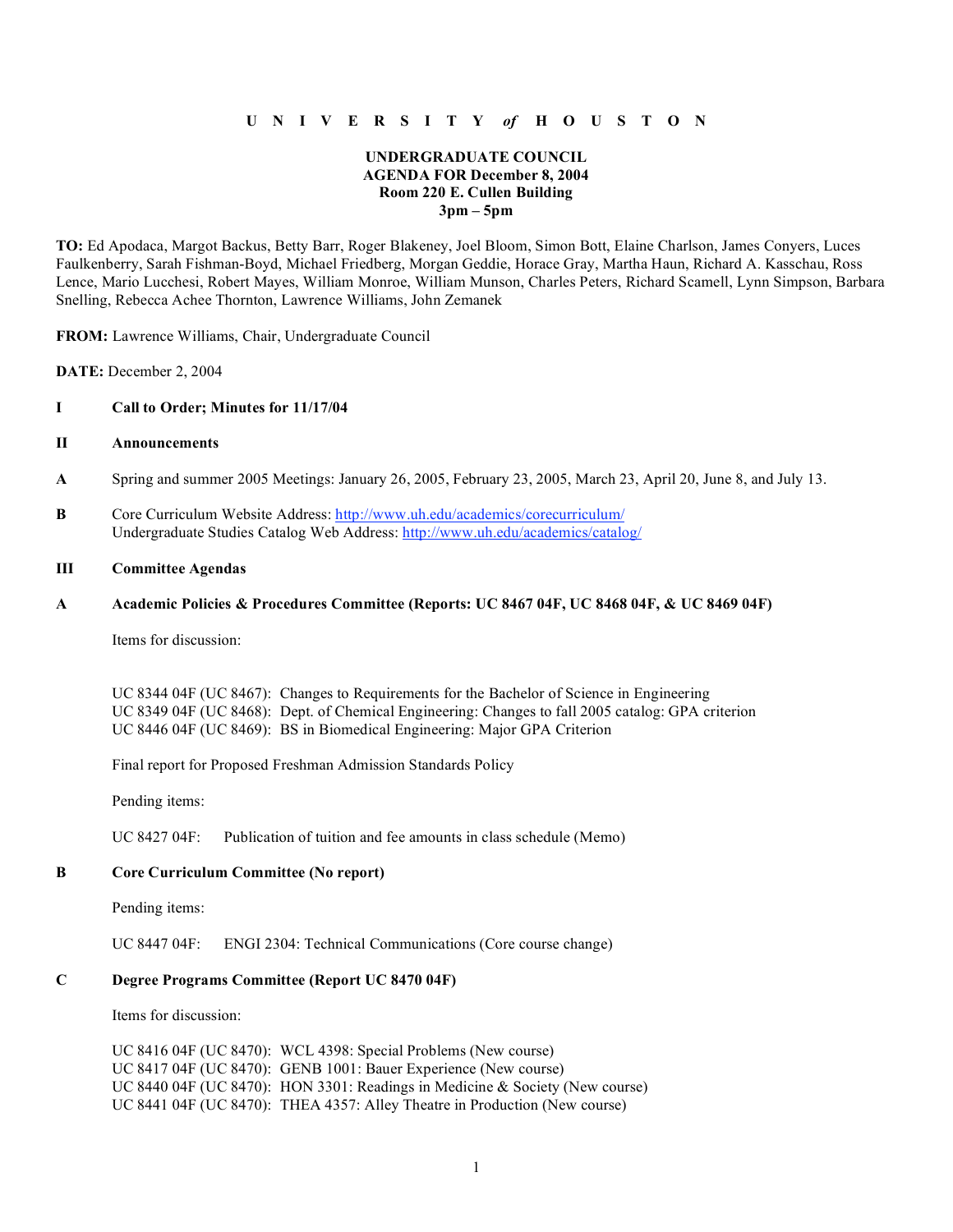# **U N I V E R S I T Y** *of* **H O U S T O N**

# **UNDERGRADUATE COUNCIL AGENDA FOR December 8, 2004 Room 220 E. Cullen Building 3pm – 5pm**

**TO:** Ed Apodaca, Margot Backus, Betty Barr, Roger Blakeney, Joel Bloom, Simon Bott, Elaine Charlson, James Conyers, Luces Faulkenberry, Sarah Fishman-Boyd, Michael Friedberg, Morgan Geddie, Horace Gray, Martha Haun, Richard A. Kasschau, Ross Lence, Mario Lucchesi, Robert Mayes, William Monroe, William Munson, Charles Peters, Richard Scamell, Lynn Simpson, Barbara Snelling, Rebecca Achee Thornton, Lawrence Williams, John Zemanek

**FROM:** Lawrence Williams, Chair, Undergraduate Council

**DATE:** December 2, 2004

### **I Call to Order; Minutes for 11/17/04**

#### **II Announcements**

- **A** Spring and summer 2005 Meetings: January 26, 2005, February 23, 2005, March 23, April 20, June 8, and July 13.
- **B** Core Curriculum Website Address: http://www.uh.edu/academics/corecurriculum/ Undergraduate Studies Catalog Web Address: http://www.uh.edu/academics/catalog/

# **III Committee Agendas**

#### **A Academic Policies & Procedures Committee (Reports: UC 8467 04F, UC 8468 04F, & UC 8469 04F)**

Items for discussion:

UC 8344 04F (UC 8467): Changes to Requirements for the Bachelor of Science in Engineering UC 8349 04F (UC 8468): Dept. of Chemical Engineering: Changes to fall 2005 catalog: GPA criterion UC 8446 04F (UC 8469): BS in Biomedical Engineering: Major GPA Criterion

Final report for Proposed Freshman Admission Standards Policy

Pending items:

UC 8427 04F: Publication of tuition and fee amounts in class schedule (Memo)

## **B Core Curriculum Committee (No report)**

Pending items:

UC 8447 04F: ENGI 2304: Technical Communications (Core course change)

#### **C Degree Programs Committee (Report UC 8470 04F)**

Items for discussion:

UC 8416 04F (UC 8470): WCL 4398: Special Problems (New course) UC 8417 04F (UC 8470): GENB 1001: Bauer Experience (New course) UC 8440 04F (UC 8470): HON 3301: Readings in Medicine & Society (New course) UC 8441 04F (UC 8470): THEA 4357: Alley Theatre in Production (New course)